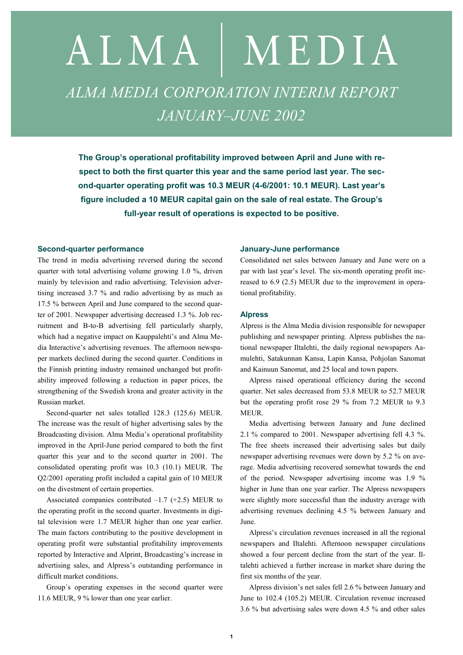# ALMA | MEDIA *ALMA MEDIA CORPORATION INTERIM REPORT JANUARY–JUNE 2002*

**The Group's operational profitability improved between April and June with respect to both the first quarter this year and the same period last year. The second-quarter operating profit was 10.3 MEUR (4-6/2001: 10.1 MEUR). Last year's figure included a 10 MEUR capital gain on the sale of real estate. The Group's full-year result of operations is expected to be positive.** 

#### **Second-quarter performance**

The trend in media advertising reversed during the second quarter with total advertising volume growing 1.0 %, driven mainly by television and radio advertising. Television advertising increased 3.7 % and radio advertising by as much as 17.5 % between April and June compared to the second quarter of 2001. Newspaper advertising decreased 1.3 %. Job recruitment and B-to-B advertising fell particularly sharply, which had a negative impact on Kauppalehti's and Alma Media Interactive's advertising revenues. The afternoon newspaper markets declined during the second quarter. Conditions in the Finnish printing industry remained unchanged but profitability improved following a reduction in paper prices, the strengthening of the Swedish krona and greater activity in the Russian market.

Second-quarter net sales totalled 128.3 (125.6) MEUR. The increase was the result of higher advertising sales by the Broadcasting division. Alma Media's operational profitability improved in the April-June period compared to both the first quarter this year and to the second quarter in 2001. The consolidated operating profit was 10.3 (10.1) MEUR. The Q2/2001 operating profit included a capital gain of 10 MEUR on the divestment of certain properties.

Associated companies contributed  $-1.7$  (+2.5) MEUR to the operating profit in the second quarter. Investments in digital television were 1.7 MEUR higher than one year earlier. The main factors contributing to the positive development in operating profit were substantial profitability improvements reported by Interactive and Alprint, Broadcasting's increase in advertising sales, and Alpress's outstanding performance in difficult market conditions.

Group´s operating expenses in the second quarter were 11.6 MEUR, 9 % lower than one year earlier.

#### **January-June performance**

Consolidated net sales between January and June were on a par with last year's level. The six-month operating profit increased to 6.9 (2.5) MEUR due to the improvement in operational profitability.

## **Alpress**

Alpress is the Alma Media division responsible for newspaper publishing and newspaper printing. Alpress publishes the national newspaper Iltalehti, the daily regional newspapers Aamulehti, Satakunnan Kansa, Lapin Kansa, Pohjolan Sanomat and Kainuun Sanomat, and 25 local and town papers.

Alpress raised operational efficiency during the second quarter. Net sales decreased from 53.8 MEUR to 52.7 MEUR but the operating profit rose 29 % from 7.2 MEUR to 9.3 MEUR.

Media advertising between January and June declined 2.1 % compared to 2001. Newspaper advertising fell 4.3 %. The free sheets increased their advertising sales but daily newspaper advertising revenues were down by 5.2 % on average. Media advertising recovered somewhat towards the end of the period. Newspaper advertising income was 1.9 % higher in June than one year earlier. The Alpress newspapers were slightly more successful than the industry average with advertising revenues declining 4.5 % between January and June.

Alpress's circulation revenues increased in all the regional newspapers and Iltalehti. Afternoon newspaper circulations showed a four percent decline from the start of the year. Iltalehti achieved a further increase in market share during the first six months of the year.

Alpress division's net sales fell 2.6 % between January and June to 102.4 (105.2) MEUR. Circulation revenue increased 3.6 % but advertising sales were down 4.5 % and other sales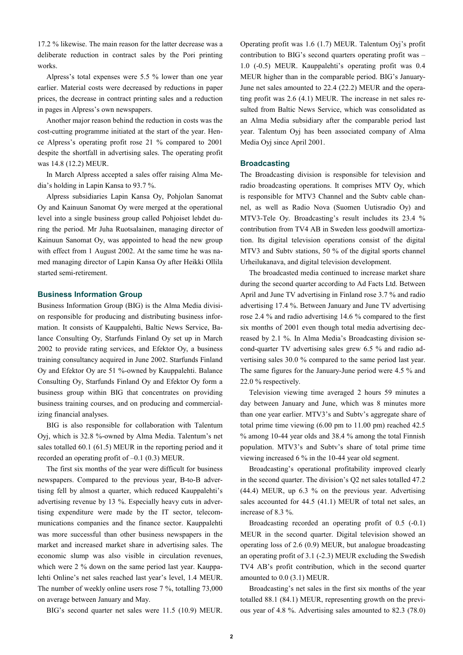17.2 % likewise. The main reason for the latter decrease was a deliberate reduction in contract sales by the Pori printing works.

Alpress's total expenses were 5.5 % lower than one year earlier. Material costs were decreased by reductions in paper prices, the decrease in contract printing sales and a reduction in pages in Alpress's own newspapers.

Another major reason behind the reduction in costs was the cost-cutting programme initiated at the start of the year. Hence Alpress's operating profit rose 21 % compared to 2001 despite the shortfall in advertising sales. The operating profit was 14.8 (12.2) MEUR.

In March Alpress accepted a sales offer raising Alma Media's holding in Lapin Kansa to 93.7 %.

Alpress subsidiaries Lapin Kansa Oy, Pohjolan Sanomat Oy and Kainuun Sanomat Oy were merged at the operational level into a single business group called Pohjoiset lehdet during the period. Mr Juha Ruotsalainen, managing director of Kainuun Sanomat Oy, was appointed to head the new group with effect from 1 August 2002. At the same time he was named managing director of Lapin Kansa Oy after Heikki Ollila started semi-retirement.

## **Business Information Group**

Business Information Group (BIG) is the Alma Media division responsible for producing and distributing business information. It consists of Kauppalehti, Baltic News Service, Balance Consulting Oy, Starfunds Finland Oy set up in March 2002 to provide rating services, and Efektor Oy, a business training consultancy acquired in June 2002. Starfunds Finland Oy and Efektor Oy are 51 %-owned by Kauppalehti. Balance Consulting Oy, Starfunds Finland Oy and Efektor Oy form a business group within BIG that concentrates on providing business training courses, and on producing and commercializing financial analyses.

BIG is also responsible for collaboration with Talentum Oyj, which is 32.8 %-owned by Alma Media. Talentum's net sales totalled 60.1 (61.5) MEUR in the reporting period and it recorded an operating profit of –0.1 (0.3) MEUR.

The first six months of the year were difficult for business newspapers. Compared to the previous year, B-to-B advertising fell by almost a quarter, which reduced Kauppalehti's advertising revenue by 13 %. Especially heavy cuts in advertising expenditure were made by the IT sector, telecommunications companies and the finance sector. Kauppalehti was more successful than other business newspapers in the market and increased market share in advertising sales. The economic slump was also visible in circulation revenues, which were 2 % down on the same period last year. Kauppalehti Online's net sales reached last year's level, 1.4 MEUR. The number of weekly online users rose 7 %, totalling 73,000 on average between January and May.

BIG's second quarter net sales were 11.5 (10.9) MEUR.

Operating profit was 1.6 (1.7) MEUR. Talentum Oyj's profit contribution to BIG's second quarters operating profit was – 1.0 (-0.5) MEUR. Kauppalehti's operating profit was 0.4 MEUR higher than in the comparable period. BIG's January-June net sales amounted to 22.4 (22.2) MEUR and the operating profit was 2.6 (4.1) MEUR. The increase in net sales resulted from Baltic News Service, which was consolidated as an Alma Media subsidiary after the comparable period last year. Talentum Oyj has been associated company of Alma Media Oyj since April 2001.

#### **Broadcasting**

The Broadcasting division is responsible for television and radio broadcasting operations. It comprises MTV Oy, which is responsible for MTV3 Channel and the Subtv cable channel, as well as Radio Nova (Suomen Uutisradio Oy) and MTV3-Tele Oy. Broadcasting's result includes its 23.4 % contribution from TV4 AB in Sweden less goodwill amortization. Its digital television operations consist of the digital MTV3 and Subtv stations, 50 % of the digital sports channel Urheilukanava, and digital television development.

The broadcasted media continued to increase market share during the second quarter according to Ad Facts Ltd. Between April and June TV advertising in Finland rose 3.7 % and radio advertising 17.4 %. Between January and June TV advertising rose 2.4 % and radio advertising 14.6 % compared to the first six months of 2001 even though total media advertising decreased by 2.1 %. In Alma Media's Broadcasting division second-quarter TV advertising sales grew 6.5 % and radio advertising sales 30.0 % compared to the same period last year. The same figures for the January-June period were 4.5 % and 22.0 % respectively.

Television viewing time averaged 2 hours 59 minutes a day between January and June, which was 8 minutes more than one year earlier. MTV3's and Subtv's aggregate share of total prime time viewing (6.00 pm to 11.00 pm) reached 42.5 % among 10-44 year olds and 38.4 % among the total Finnish population. MTV3's and Subtv's share of total prime time viewing increased 6 % in the 10-44 year old segment.

Broadcasting's operational profitability improved clearly in the second quarter. The division's Q2 net sales totalled 47.2 (44.4) MEUR, up 6.3 % on the previous year. Advertising sales accounted for 44.5 (41.1) MEUR of total net sales, an increase of 8.3 %.

Broadcasting recorded an operating profit of 0.5 (-0.1) MEUR in the second quarter. Digital television showed an operating loss of 2.6 (0.9) MEUR, but analogue broadcasting an operating profit of 3.1 (-2.3) MEUR excluding the Swedish TV4 AB's profit contribution, which in the second quarter amounted to 0.0 (3.1) MEUR.

Broadcasting's net sales in the first six months of the year totalled 88.1 (84.1) MEUR, representing growth on the previous year of 4.8 %. Advertising sales amounted to 82.3 (78.0)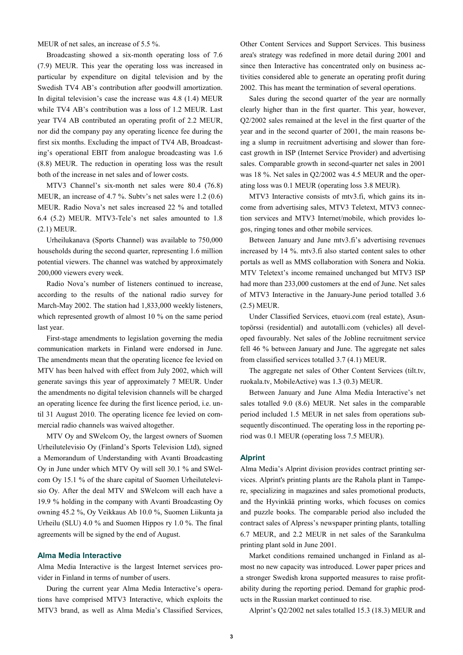MEUR of net sales, an increase of 5.5 %.

Broadcasting showed a six-month operating loss of 7.6 (7.9) MEUR. This year the operating loss was increased in particular by expenditure on digital television and by the Swedish TV4 AB's contribution after goodwill amortization. In digital television's case the increase was 4.8 (1.4) MEUR while TV4 AB's contribution was a loss of 1.2 MEUR. Last year TV4 AB contributed an operating profit of 2.2 MEUR, nor did the company pay any operating licence fee during the first six months. Excluding the impact of TV4 AB, Broadcasting's operational EBIT from analogue broadcasting was 1.6 (8.8) MEUR. The reduction in operating loss was the result both of the increase in net sales and of lower costs.

MTV3 Channel's six-month net sales were 80.4 (76.8) MEUR, an increase of 4.7 %. Subtv's net sales were 1.2 (0.6) MEUR. Radio Nova's net sales increased 22 % and totalled 6.4 (5.2) MEUR. MTV3-Tele's net sales amounted to 1.8 (2.1) MEUR.

Urheilukanava (Sports Channel) was available to 750,000 households during the second quarter, representing 1.6 million potential viewers. The channel was watched by approximately 200,000 viewers every week.

Radio Nova's number of listeners continued to increase, according to the results of the national radio survey for March-May 2002. The station had 1,833,000 weekly listeners, which represented growth of almost 10 % on the same period last year.

First-stage amendments to legislation governing the media communication markets in Finland were endorsed in June. The amendments mean that the operating licence fee levied on MTV has been halved with effect from July 2002, which will generate savings this year of approximately 7 MEUR. Under the amendments no digital television channels will be charged an operating licence fee during the first licence period, i.e. until 31 August 2010. The operating licence fee levied on commercial radio channels was waived altogether.

MTV Oy and SWelcom Oy, the largest owners of Suomen Urheilutelevisio Oy (Finland's Sports Television Ltd), signed a Memorandum of Understanding with Avanti Broadcasting Oy in June under which MTV Oy will sell 30.1 % and SWelcom Oy 15.1 % of the share capital of Suomen Urheilutelevisio Oy. After the deal MTV and SWelcom will each have a 19.9 % holding in the company with Avanti Broadcasting Oy owning 45.2 %, Oy Veikkaus Ab 10.0 %, Suomen Liikunta ja Urheilu (SLU) 4.0 % and Suomen Hippos ry 1.0 %. The final agreements will be signed by the end of August.

## **Alma Media Interactive**

Alma Media Interactive is the largest Internet services provider in Finland in terms of number of users.

During the current year Alma Media Interactive's operations have comprised MTV3 Interactive, which exploits the MTV3 brand, as well as Alma Media's Classified Services, Other Content Services and Support Services. This business area's strategy was redefined in more detail during 2001 and since then Interactive has concentrated only on business activities considered able to generate an operating profit during 2002. This has meant the termination of several operations.

Sales during the second quarter of the year are normally clearly higher than in the first quarter. This year, however, Q2/2002 sales remained at the level in the first quarter of the year and in the second quarter of 2001, the main reasons being a slump in recruitment advertising and slower than forecast growth in ISP (Internet Service Provider) and advertising sales. Comparable growth in second-quarter net sales in 2001 was 18 %. Net sales in Q2/2002 was 4.5 MEUR and the operating loss was 0.1 MEUR (operating loss 3.8 MEUR).

MTV3 Interactive consists of mtv3.fi, which gains its income from advertising sales, MTV3 Teletext, MTV3 connection services and MTV3 Internet/mobile, which provides logos, ringing tones and other mobile services.

Between January and June mtv3.fi's advertising revenues increased by 14 %. mtv3.fi also started content sales to other portals as well as MMS collaboration with Sonera and Nokia. MTV Teletext's income remained unchanged but MTV3 ISP had more than 233,000 customers at the end of June. Net sales of MTV3 Interactive in the January-June period totalled 3.6 (2.5) MEUR.

Under Classified Services, etuovi.com (real estate), Asuntopörssi (residential) and autotalli.com (vehicles) all developed favourably. Net sales of the Jobline recruitment service fell 46 % between January and June. The aggregate net sales from classified services totalled 3.7 (4.1) MEUR.

The aggregate net sales of Other Content Services (tilt.tv, ruokala.tv, MobileActive) was 1.3 (0.3) MEUR.

Between January and June Alma Media Interactive's net sales totalled 9.0 (8.6) MEUR. Net sales in the comparable period included 1.5 MEUR in net sales from operations subsequently discontinued. The operating loss in the reporting period was 0.1 MEUR (operating loss 7.5 MEUR).

#### **Alprint**

Alma Media's Alprint division provides contract printing services. Alprint's printing plants are the Rahola plant in Tampere, specializing in magazines and sales promotional products, and the Hyvinkää printing works, which focuses on comics and puzzle books. The comparable period also included the contract sales of Alpress's newspaper printing plants, totalling 6.7 MEUR, and 2.2 MEUR in net sales of the Sarankulma printing plant sold in June 2001.

Market conditions remained unchanged in Finland as almost no new capacity was introduced. Lower paper prices and a stronger Swedish krona supported measures to raise profitability during the reporting period. Demand for graphic products in the Russian market continued to rise.

Alprint's Q2/2002 net sales totalled 15.3 (18.3) MEUR and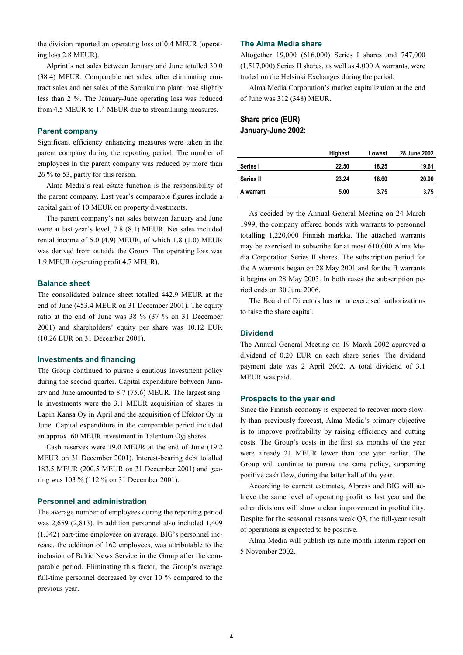the division reported an operating loss of 0.4 MEUR (operating loss 2.8 MEUR).

Alprint's net sales between January and June totalled 30.0 (38.4) MEUR. Comparable net sales, after eliminating contract sales and net sales of the Sarankulma plant, rose slightly less than 2 %. The January-June operating loss was reduced from 4.5 MEUR to 1.4 MEUR due to streamlining measures.

## **Parent company**

Significant efficiency enhancing measures were taken in the parent company during the reporting period. The number of employees in the parent company was reduced by more than 26 % to 53, partly for this reason.

Alma Media's real estate function is the responsibility of the parent company. Last year's comparable figures include a capital gain of 10 MEUR on property divestments.

The parent company's net sales between January and June were at last year's level, 7.8 (8.1) MEUR. Net sales included rental income of 5.0 (4.9) MEUR, of which 1.8 (1.0) MEUR was derived from outside the Group. The operating loss was 1.9 MEUR (operating profit 4.7 MEUR).

#### **Balance sheet**

The consolidated balance sheet totalled 442.9 MEUR at the end of June (453.4 MEUR on 31 December 2001). The equity ratio at the end of June was 38 % (37 % on 31 December 2001) and shareholders' equity per share was 10.12 EUR (10.26 EUR on 31 December 2001).

#### **Investments and financing**

The Group continued to pursue a cautious investment policy during the second quarter. Capital expenditure between January and June amounted to 8.7 (75.6) MEUR. The largest single investments were the 3.1 MEUR acquisition of shares in Lapin Kansa Oy in April and the acquisition of Efektor Oy in June. Capital expenditure in the comparable period included an approx. 60 MEUR investment in Talentum Oyj shares.

Cash reserves were 19.0 MEUR at the end of June (19.2 MEUR on 31 December 2001). Interest-bearing debt totalled 183.5 MEUR (200.5 MEUR on 31 December 2001) and gearing was 103 % (112 % on 31 December 2001).

### **Personnel and administration**

The average number of employees during the reporting period was 2,659 (2,813). In addition personnel also included 1,409 (1,342) part-time employees on average. BIG's personnel increase, the addition of 162 employees, was attributable to the inclusion of Baltic News Service in the Group after the comparable period. Eliminating this factor, the Group's average full-time personnel decreased by over 10 % compared to the previous year.

## **The Alma Media share**

Altogether 19,000 (616,000) Series I shares and 747,000 (1,517,000) Series II shares, as well as 4,000 A warrants, were traded on the Helsinki Exchanges during the period.

Alma Media Corporation's market capitalization at the end of June was 312 (348) MEUR.

## **Share price (EUR) January-June 2002:**

|                  | Highest | Lowest | 28 June 2002 |
|------------------|---------|--------|--------------|
| Series I         | 22.50   | 18.25  | 19.61        |
| <b>Series II</b> | 23.24   | 16.60  | 20.00        |
| A warrant        | 5.00    | 3.75   | 3.75         |

As decided by the Annual General Meeting on 24 March 1999, the company offered bonds with warrants to personnel totalling 1,220,000 Finnish markka. The attached warrants may be exercised to subscribe for at most 610,000 Alma Media Corporation Series II shares. The subscription period for the A warrants began on 28 May 2001 and for the B warrants it begins on 28 May 2003. In both cases the subscription period ends on 30 June 2006.

The Board of Directors has no unexercised authorizations to raise the share capital.

## **Dividend**

The Annual General Meeting on 19 March 2002 approved a dividend of 0.20 EUR on each share series. The dividend payment date was 2 April 2002. A total dividend of 3.1 MEUR was paid.

#### **Prospects to the year end**

Since the Finnish economy is expected to recover more slowly than previously forecast, Alma Media's primary objective is to improve profitability by raising efficiency and cutting costs. The Group's costs in the first six months of the year were already 21 MEUR lower than one year earlier. The Group will continue to pursue the same policy, supporting positive cash flow, during the latter half of the year.

According to current estimates, Alpress and BIG will achieve the same level of operating profit as last year and the other divisions will show a clear improvement in profitability. Despite for the seasonal reasons weak Q3, the full-year result of operations is expected to be positive.

Alma Media will publish its nine-month interim report on 5 November 2002.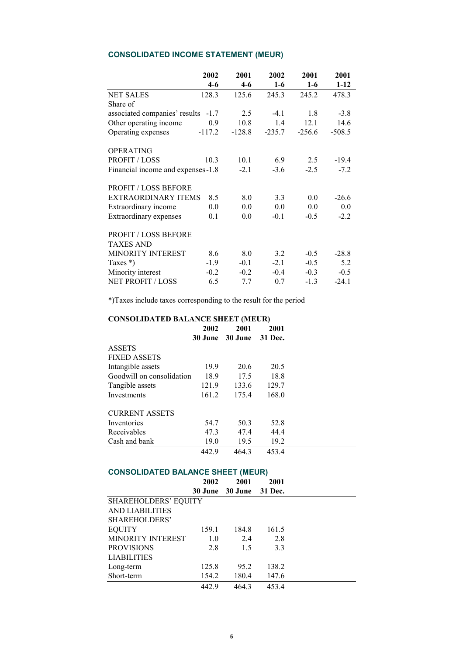# **CONSOLIDATED INCOME STATEMENT (MEUR)**

|                                    | 2002<br>$4-6$ | 2001<br>$4 - 6$ | 2002<br>$1-6$ | 2001<br>$1-6$ | 2001<br>$1 - 12$ |
|------------------------------------|---------------|-----------------|---------------|---------------|------------------|
| <b>NET SALES</b>                   | 128.3         | 125.6           | 245.3         | 245.2         | 478.3            |
| Share of                           |               |                 |               |               |                  |
| associated companies' results      | $-1.7$        | 2.5             | $-4.1$        | 1.8           | $-3.8$           |
| Other operating income             | 0.9           | 10.8            | 1.4           | 12.1          | 14.6             |
| Operating expenses                 | $-117.2$      | $-128.8$        | $-235.7$      | $-256.6$      | $-508.5$         |
| <b>OPERATING</b>                   |               |                 |               |               |                  |
| <b>PROFIT / LOSS</b>               | 10.3          | 10.1            | 6.9           | $2.5^{\circ}$ | $-19.4$          |
| Financial income and expenses -1.8 |               | $-2.1$          | $-3.6$        | $-2.5$        | $-7.2$           |
| <b>PROFIT / LOSS BEFORE</b>        |               |                 |               |               |                  |
| <b>EXTRAORDINARY ITEMS</b>         | 8.5           | 8.0             | 3.3           | 0.0           | $-26.6$          |
| Extraordinary income               | 0.0           | 0.0             | 0.0           | 0.0           | 0.0              |
| Extraordinary expenses             | 0.1           | 0.0             | $-0.1$        | $-0.5$        | $-2.2$           |
| <b>PROFIT / LOSS BEFORE</b>        |               |                 |               |               |                  |
| <b>TAXES AND</b>                   |               |                 |               |               |                  |
| <b>MINORITY INTEREST</b>           | 8.6           | 8.0             | 3.2           | $-0.5$        | $-28.8$          |
| Taxes $*)$                         | $-1.9$        | $-0.1$          | $-2.1$        | $-0.5$        | 5.2              |
| Minority interest                  | $-0.2$        | $-0.2$          | $-0.4$        | $-0.3$        | $-0.5$           |
| <b>NET PROFIT / LOSS</b>           | 6.5           | 7.7             | 0.7           | $-1.3$        | $-24.1$          |

\*)Taxes include taxes corresponding to the result for the period

## **CONSOLIDATED BALANCE SHEET (MEUR)**

|                           | 2002    | 2001    | 2001    |  |
|---------------------------|---------|---------|---------|--|
|                           | 30 June | 30 June | 31 Dec. |  |
| <b>ASSETS</b>             |         |         |         |  |
| <b>FIXED ASSETS</b>       |         |         |         |  |
| Intangible assets         | 19.9    | 20.6    | 20.5    |  |
| Goodwill on consolidation | 18.9    | 17.5    | 18.8    |  |
| Tangible assets           | 121.9   | 133.6   | 129.7   |  |
| Investments               | 161.2   | 175.4   | 168.0   |  |
| <b>CURRENT ASSETS</b>     |         |         |         |  |
| Inventories               | 54.7    | 50.3    | 52.8    |  |
| Receivables               | 47.3    | 47.4    | 44.4    |  |
| Cash and bank             | 19.0    | 19.5    | 19.2    |  |
|                           | 442.9   | 464.3   | 453.4   |  |

# **CONSOLIDATED BALANCE SHEET (MEUR)**

|                             | 2002  | 2001                    | 2001  |  |
|-----------------------------|-------|-------------------------|-------|--|
|                             |       | 30 June 30 June 31 Dec. |       |  |
| <b>SHAREHOLDERS' EQUITY</b> |       |                         |       |  |
| <b>AND LIABILITIES</b>      |       |                         |       |  |
| SHAREHOLDERS'               |       |                         |       |  |
| <b>EQUITY</b>               | 159.1 | 184.8                   | 161.5 |  |
| MINORITY INTEREST           | 1.0   | 2.4                     | 2.8   |  |
| <b>PROVISIONS</b>           | 2.8   | 1.5                     | 3.3   |  |
| <b>LIABILITIES</b>          |       |                         |       |  |
| Long-term                   | 125.8 | 95.2                    | 138.2 |  |
| Short-term                  | 154.2 | 180.4                   | 147.6 |  |
|                             | 442.9 | 464.3                   | 453.4 |  |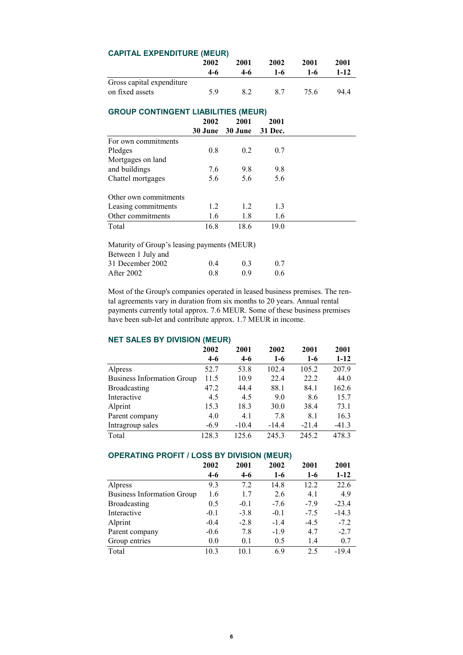| <b>CAPITAL EXPENDITURE (MEUR)</b>           |         |         |         |       |        |  |  |  |
|---------------------------------------------|---------|---------|---------|-------|--------|--|--|--|
|                                             | 2002    | 2001    | 2002    | 2001  | 2001   |  |  |  |
|                                             | $4-6$   | $4-6$   | $1-6$   | $1-6$ | $1-12$ |  |  |  |
| Gross capital expenditure                   |         |         |         |       |        |  |  |  |
| on fixed assets                             | 5.9     | 8.2     | 8.7     | 75.6  | 94.4   |  |  |  |
| <b>GROUP CONTINGENT LIABILITIES (MEUR)</b>  |         |         |         |       |        |  |  |  |
|                                             | 2002    | 2001    | 2001    |       |        |  |  |  |
|                                             | 30 June | 30 June | 31 Dec. |       |        |  |  |  |
| For own commitments                         |         |         |         |       |        |  |  |  |
| Pledges                                     | 0.8     | 0.2     | 0.7     |       |        |  |  |  |
| Mortgages on land                           |         |         |         |       |        |  |  |  |
| and buildings                               | 7.6     | 9.8     | 9.8     |       |        |  |  |  |
| Chattel mortgages                           | 5.6     | 5.6     | 5.6     |       |        |  |  |  |
| Other own commitments                       |         |         |         |       |        |  |  |  |
| Leasing commitments                         | 1.2     | 1.2     | 1.3     |       |        |  |  |  |
| Other commitments                           | 1.6     | 1.8     | 1.6     |       |        |  |  |  |
| Total                                       | 16.8    | 18.6    | 19.0    |       |        |  |  |  |
| Maturity of Group's leasing payments (MEUR) |         |         |         |       |        |  |  |  |
| Between 1 July and                          |         |         |         |       |        |  |  |  |
| 31 December 2002                            | 0.4     | 0.3     | 0.7     |       |        |  |  |  |
| After 2002                                  | 0.8     | 0.9     | 0.6     |       |        |  |  |  |

Most of the Group's companies operated in leased business premises. The rental agreements vary in duration from six months to 20 years. Annual rental payments currently total approx. 7.6 MEUR. Some of these business premises have been sub-let and contribute approx. 1.7 MEUR in income.

## **NET SALES BY DIVISION (MEUR)**

|                                   | 2002   | 2001    | 2002    | 2001    | 2001     |
|-----------------------------------|--------|---------|---------|---------|----------|
|                                   | $4-6$  | 4-6     | $1-6$   | $1-6$   | $1 - 12$ |
| Alpress                           | 52.7   | 53.8    | 102.4   | 105.2   | 207.9    |
| <b>Business Information Group</b> | 11.5   | 10.9    | 22.4    | 22.2    | 44.0     |
| <b>Broadcasting</b>               | 47.2   | 44.4    | 88.1    | 84.1    | 162.6    |
| Interactive                       | 4.5    | 4.5     | 9.0     | 8.6     | 15.7     |
| Alprint                           | 15.3   | 18.3    | 30.0    | 38.4    | 73.1     |
| Parent company                    | 4.0    | 4.1     | 7.8     | 8.1     | 16.3     |
| Intragroup sales                  | $-6.9$ | $-10.4$ | $-14.4$ | $-21.4$ | $-41.3$  |
| Total                             | 128.3  | 125.6   | 245.3   | 245.2   | 478.3    |

# **OPERATING PROFIT / LOSS BY DIVISION (MEUR)**

|                                   | 2002   | 2001   | 2002   | 2001   | 2001     |
|-----------------------------------|--------|--------|--------|--------|----------|
|                                   | $4-6$  | $4-6$  | $1-6$  | $1-6$  | $1 - 12$ |
| Alpress                           | 9.3    | 7.2    | 14.8   | 12.2   | 22.6     |
| <b>Business Information Group</b> | 1.6    | 1.7    | 2.6    | 4.1    | 4.9      |
| <b>Broadcasting</b>               | 0.5    | $-0.1$ | $-7.6$ | $-7.9$ | $-23.4$  |
| Interactive                       | $-0.1$ | $-3.8$ | $-0.1$ | $-7.5$ | $-14.3$  |
| Alprint                           | $-0.4$ | $-2.8$ | $-1.4$ | $-4.5$ | $-7.2$   |
| Parent company                    | $-0.6$ | 7.8    | $-1.9$ | 4.7    | $-2.7$   |
| Group entries                     | 0.0    | 0.1    | 0.5    | 1.4    | 0.7      |
| Total                             | 10.3   | 10.1   | 6.9    | 2.5    | $-19.4$  |